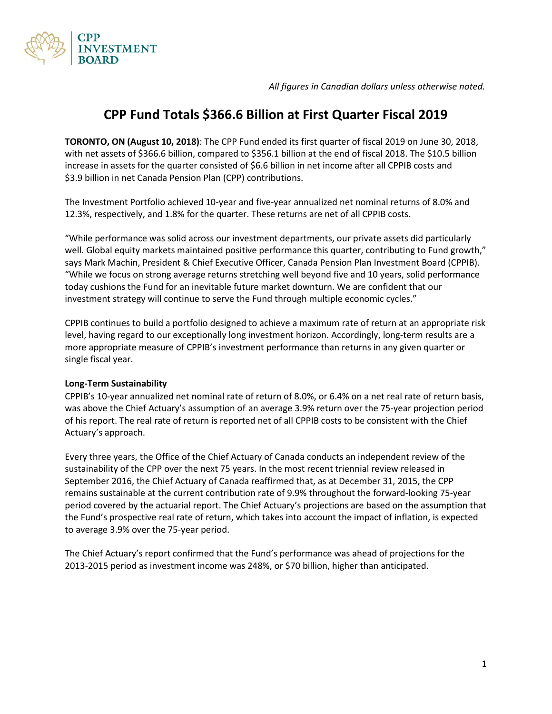*All figures in Canadian dollars unless otherwise noted.* 



# **CPP Fund Totals \$366.6 Billion at First Quarter Fiscal 2019**

**TORONTO, ON (August 10, 2018)**: The CPP Fund ended its first quarter of fiscal 2019 on June 30, 2018, with net assets of \$366.6 billion, compared to \$356.1 billion at the end of fiscal 2018. The \$10.5 billion increase in assets for the quarter consisted of \$6.6 billion in net income after all CPPIB costs and \$3.9 billion in net Canada Pension Plan (CPP) contributions.

The Investment Portfolio achieved 10-year and five-year annualized net nominal returns of 8.0% and 12.3%, respectively, and 1.8% for the quarter. These returns are net of all CPPIB costs.

"While performance was solid across our investment departments, our private assets did particularly well. Global equity markets maintained positive performance this quarter, contributing to Fund growth," says Mark Machin, President & Chief Executive Officer, Canada Pension Plan Investment Board (CPPIB). "While we focus on strong average returns stretching well beyond five and 10 years, solid performance today cushions the Fund for an inevitable future market downturn. We are confident that our investment strategy will continue to serve the Fund through multiple economic cycles."

CPPIB continues to build a portfolio designed to achieve a maximum rate of return at an appropriate risk level, having regard to our exceptionally long investment horizon. Accordingly, long-term results are a more appropriate measure of CPPIB's investment performance than returns in any given quarter or single fiscal year.

# **Long-Term Sustainability**

CPPIB's 10-year annualized net nominal rate of return of 8.0%, or 6.4% on a net real rate of return basis, was above the Chief Actuary's assumption of an average 3.9% return over the 75-year projection period of his report. The real rate of return is reported net of all CPPIB costs to be consistent with the Chief Actuary's approach.

Every three years, the Office of the Chief Actuary of Canada conducts an independent review of the sustainability of the CPP over the next 75 years. In the most recent triennial review released in September 2016, the Chief Actuary of Canada reaffirmed that, as at December 31, 2015, the CPP remains sustainable at the current contribution rate of 9.9% throughout the forward-looking 75-year period covered by the actuarial report. The Chief Actuary's projections are based on the assumption that the Fund's prospective real rate of return, which takes into account the impact of inflation, is expected to average 3.9% over the 75-year period.

The Chief Actuary's report confirmed that the Fund's performance was ahead of projections for the 2013-2015 period as investment income was 248%, or \$70 billion, higher than anticipated.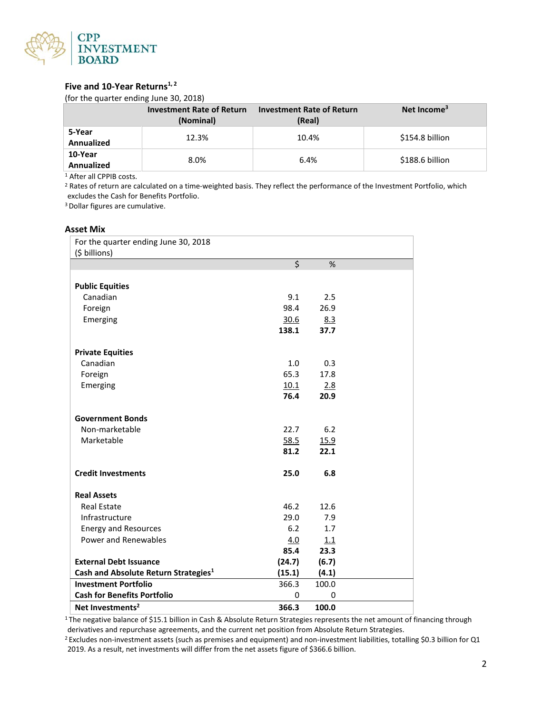

# Five and 10-Year Returns<sup>1,2</sup>

(for the quarter ending June 30, 2018)

|                              | <b>Investment Rate of Return</b><br>(Nominal) | <b>Investment Rate of Return</b><br>(Real) | Net Income <sup>3</sup> |
|------------------------------|-----------------------------------------------|--------------------------------------------|-------------------------|
| 5-Year<br><b>Annualized</b>  | 12.3%                                         | 10.4%                                      | \$154.8 billion         |
| 10-Year<br><b>Annualized</b> | 8.0%                                          | 6.4%                                       | \$188.6 billion         |

<sup>1</sup> After all CPPIB costs.

<sup>2</sup> Rates of return are calculated on a time-weighted basis. They reflect the performance of the Investment Portfolio, which excludes the Cash for Benefits Portfolio.

3 Dollar figures are cumulative.

#### **Asset Mix**

| For the quarter ending June 30, 2018             |                  |       |  |
|--------------------------------------------------|------------------|-------|--|
| (\$ billions)                                    |                  |       |  |
|                                                  | $\overline{\xi}$ | %     |  |
|                                                  |                  |       |  |
| <b>Public Equities</b>                           |                  |       |  |
| Canadian                                         | 9.1              | 2.5   |  |
| Foreign                                          | 98.4             | 26.9  |  |
| Emerging                                         | 30.6             | 8.3   |  |
|                                                  | 138.1            | 37.7  |  |
|                                                  |                  |       |  |
| <b>Private Equities</b>                          |                  |       |  |
| Canadian                                         | 1.0              | 0.3   |  |
| Foreign                                          | 65.3             | 17.8  |  |
| Emerging                                         | 10.1             | 2.8   |  |
|                                                  | 76.4             | 20.9  |  |
|                                                  |                  |       |  |
| <b>Government Bonds</b>                          |                  |       |  |
| Non-marketable                                   | 22.7             | 6.2   |  |
| Marketable                                       | 58.5             | 15.9  |  |
|                                                  | 81.2             | 22.1  |  |
| <b>Credit Investments</b>                        | 25.0             | 6.8   |  |
|                                                  |                  |       |  |
| <b>Real Assets</b>                               |                  |       |  |
| <b>Real Estate</b>                               | 46.2             | 12.6  |  |
| Infrastructure                                   | 29.0             | 7.9   |  |
| <b>Energy and Resources</b>                      | 6.2              | 1.7   |  |
| Power and Renewables                             | 4.0              | 1.1   |  |
|                                                  | 85.4             | 23.3  |  |
| <b>External Debt Issuance</b>                    | (24.7)           | (6.7) |  |
| Cash and Absolute Return Strategies <sup>1</sup> | (15.1)           | (4.1) |  |
| <b>Investment Portfolio</b>                      | 366.3            | 100.0 |  |
| <b>Cash for Benefits Portfolio</b>               | 0                | 0     |  |
| Net Investments <sup>2</sup>                     | 366.3            | 100.0 |  |

<sup>1</sup>The negative balance of \$15.1 billion in Cash & Absolute Return Strategies represents the net amount of financing through derivatives and repurchase agreements, and the current net position from Absolute Return Strategies.

<sup>2</sup> Excludes non-investment assets (such as premises and equipment) and non-investment liabilities, totalling \$0.3 billion for Q1 2019. As a result, net investments will differ from the net assets figure of \$366.6 billion.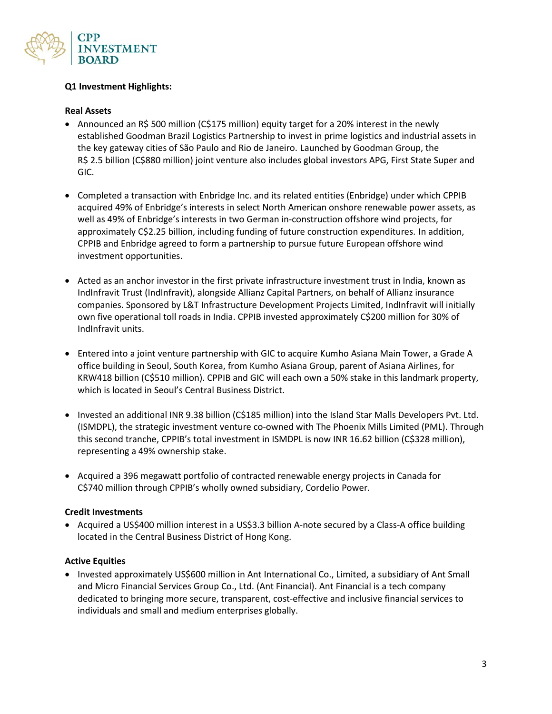

# **Q1 Investment Highlights:**

#### **Real Assets**

- Announced an R\$ 500 million (C\$175 million) equity target for a 20% interest in the newly established Goodman Brazil Logistics Partnership to invest in prime logistics and industrial assets in the key gateway cities of São Paulo and Rio de Janeiro. Launched by Goodman Group, the R\$ 2.5 billion (C\$880 million) joint venture also includes global investors APG, First State Super and GIC.
- Completed a transaction with Enbridge Inc. and its related entities (Enbridge) under which CPPIB acquired 49% of Enbridge's interests in select North American onshore renewable power assets, as well as 49% of Enbridge's interests in two German in-construction offshore wind projects, for approximately C\$2.25 billion, including funding of future construction expenditures. In addition, CPPIB and Enbridge agreed to form a partnership to pursue future European offshore wind investment opportunities.
- Acted as an anchor investor in the first private infrastructure investment trust in India, known as IndInfravit Trust (IndInfravit), alongside Allianz Capital Partners, on behalf of Allianz insurance companies. Sponsored by L&T Infrastructure Development Projects Limited, IndInfravit will initially own five operational toll roads in India. CPPIB invested approximately C\$200 million for 30% of IndInfravit units.
- Entered into a joint venture partnership with GIC to acquire Kumho Asiana Main Tower, a Grade A office building in Seoul, South Korea, from Kumho Asiana Group, parent of Asiana Airlines, for KRW418 billion (C\$510 million). CPPIB and GIC will each own a 50% stake in this landmark property, which is located in Seoul's Central Business District.
- Invested an additional INR 9.38 billion (C\$185 million) into the Island Star Malls Developers Pvt. Ltd. (ISMDPL), the strategic investment venture co-owned with The Phoenix Mills Limited (PML). Through this second tranche, CPPIB's total investment in ISMDPL is now INR 16.62 billion (C\$328 million), representing a 49% ownership stake.
- Acquired a 396 megawatt portfolio of contracted renewable energy projects in Canada for C\$740 million through CPPIB's wholly owned subsidiary, Cordelio Power.

### **Credit Investments**

• Acquired a US\$400 million interest in a US\$3.3 billion A-note secured by a Class-A office building located in the Central Business District of Hong Kong.

#### **Active Equities**

• Invested approximately US\$600 million in Ant International Co., Limited, a subsidiary of Ant Small and Micro Financial Services Group Co., Ltd. (Ant Financial). Ant Financial is a tech company dedicated to bringing more secure, transparent, cost-effective and inclusive financial services to individuals and small and medium enterprises globally.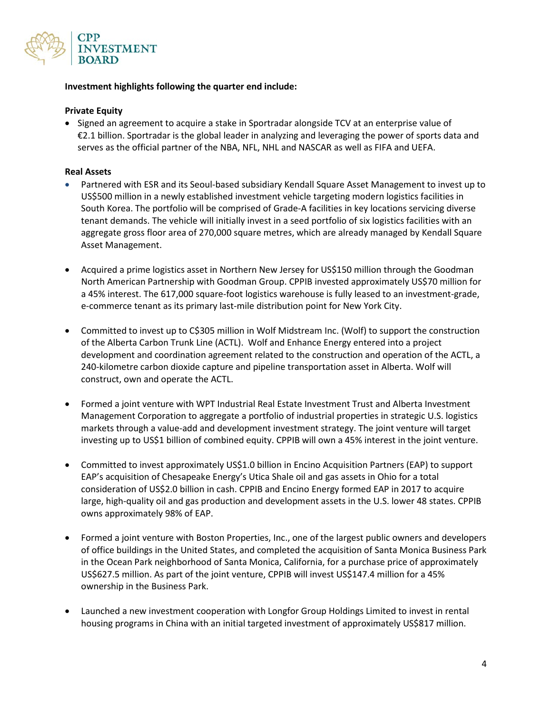

## **Investment highlights following the quarter end include:**

### **Private Equity**

• Signed an agreement to acquire a stake in Sportradar alongside TCV at an enterprise value of €2.1 billion. Sportradar is the global leader in analyzing and leveraging the power of sports data and serves as the official partner of the NBA, NFL, NHL and NASCAR as well as FIFA and UEFA.

#### **Real Assets**

- Partnered with ESR and its Seoul-based subsidiary Kendall Square Asset Management to invest up to US\$500 million in a newly established investment vehicle targeting modern logistics facilities in South Korea. The portfolio will be comprised of Grade-A facilities in key locations servicing diverse tenant demands. The vehicle will initially invest in a seed portfolio of six logistics facilities with an aggregate gross floor area of 270,000 square metres, which are already managed by Kendall Square Asset Management.
- Acquired a prime logistics asset in Northern New Jersey for US\$150 million through the Goodman North American Partnership with Goodman Group. CPPIB invested approximately US\$70 million for a 45% interest. The 617,000 square-foot logistics warehouse is fully leased to an investment-grade, e-commerce tenant as its primary last-mile distribution point for New York City.
- Committed to invest up to C\$305 million in Wolf Midstream Inc. (Wolf) to support the construction of the Alberta Carbon Trunk Line (ACTL). Wolf and Enhance Energy entered into a project development and coordination agreement related to the construction and operation of the ACTL, a 240-kilometre carbon dioxide capture and pipeline transportation asset in Alberta. Wolf will construct, own and operate the ACTL.
- Formed a joint venture with WPT Industrial Real Estate Investment Trust and Alberta Investment Management Corporation to aggregate a portfolio of industrial properties in strategic U.S. logistics markets through a value-add and development investment strategy. The joint venture will target investing up to US\$1 billion of combined equity. CPPIB will own a 45% interest in the joint venture.
- Committed to invest approximately US\$1.0 billion in Encino Acquisition Partners (EAP) to support EAP's acquisition of Chesapeake Energy's Utica Shale oil and gas assets in Ohio for a total consideration of US\$2.0 billion in cash. CPPIB and Encino Energy formed EAP in 2017 to acquire large, high-quality oil and gas production and development assets in the U.S. lower 48 states. CPPIB owns approximately 98% of EAP.
- Formed a joint venture with Boston Properties, Inc., one of the largest public owners and developers of office buildings in the United States, and completed the acquisition of Santa Monica Business Park in the Ocean Park neighborhood of Santa Monica, California, for a purchase price of approximately US\$627.5 million. As part of the joint venture, CPPIB will invest US\$147.4 million for a 45% ownership in the Business Park.
- Launched a new investment cooperation with Longfor Group Holdings Limited to invest in rental housing programs in China with an initial targeted investment of approximately US\$817 million.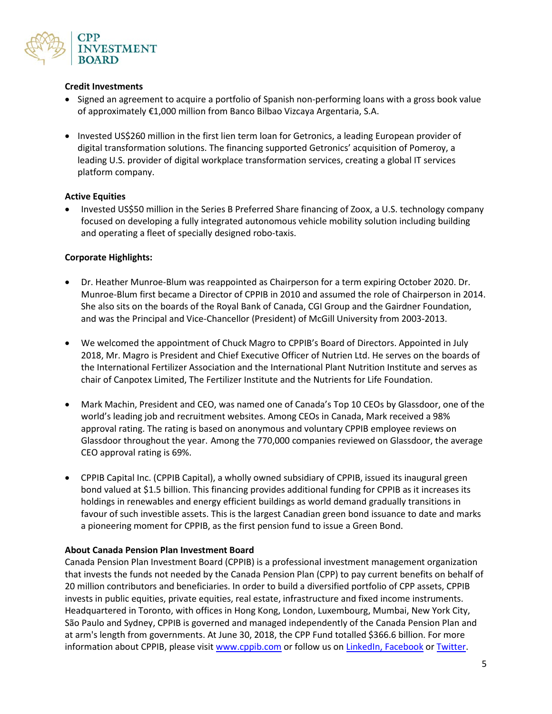

#### **Credit Investments**

- Signed an agreement to acquire a portfolio of Spanish non-performing loans with a gross book value of approximately €1,000 million from Banco Bilbao Vizcaya Argentaria, S.A.
- Invested US\$260 million in the first lien term loan for Getronics, a leading European provider of digital transformation solutions. The financing supported Getronics' acquisition of Pomeroy, a leading U.S. provider of digital workplace transformation services, creating a global IT services platform company.

### **Active Equities**

• Invested US\$50 million in the Series B Preferred Share financing of Zoox, a U.S. technology company focused on developing a fully integrated autonomous vehicle mobility solution including building and operating a fleet of specially designed robo-taxis.

#### **Corporate Highlights:**

- Dr. Heather Munroe-Blum was reappointed as Chairperson for a term expiring October 2020. Dr. Munroe-Blum first became a Director of CPPIB in 2010 and assumed the role of Chairperson in 2014. She also sits on the boards of the Royal Bank of Canada, CGI Group and the Gairdner Foundation, and was the Principal and Vice-Chancellor (President) of McGill University from 2003-2013.
- We welcomed the appointment of Chuck Magro to CPPIB's Board of Directors. Appointed in July 2018, Mr. Magro is President and Chief Executive Officer of Nutrien Ltd. He serves on the boards of the International Fertilizer Association and the International Plant Nutrition Institute and serves as chair of Canpotex Limited, The Fertilizer Institute and the Nutrients for Life Foundation.
- Mark Machin, President and CEO, was named one of Canada's Top 10 CEOs by Glassdoor, one of the world's leading job and recruitment websites. Among CEOs in Canada, Mark received a 98% approval rating. The rating is based on anonymous and voluntary CPPIB employee reviews on Glassdoor throughout the year. Among the 770,000 companies reviewed on Glassdoor, the average CEO approval rating is 69%.
- CPPIB Capital Inc. (CPPIB Capital), a wholly owned subsidiary of CPPIB, issued its inaugural green bond valued at \$1.5 billion. This financing provides additional funding for CPPIB as it increases its holdings in renewables and energy efficient buildings as world demand gradually transitions in favour of such investible assets. This is the largest Canadian green bond issuance to date and marks a pioneering moment for CPPIB, as the first pension fund to issue a Green Bond.

#### **About Canada Pension Plan Investment Board**

Canada Pension Plan Investment Board (CPPIB) is a professional investment management organization that invests the funds not needed by the Canada Pension Plan (CPP) to pay current benefits on behalf of 20 million contributors and beneficiaries. In order to build a diversified portfolio of CPP assets, CPPIB invests in public equities, private equities, real estate, infrastructure and fixed income instruments. Headquartered in Toronto, with offices in Hong Kong, London, Luxembourg, Mumbai, New York City, São Paulo and Sydney, CPPIB is governed and managed independently of the Canada Pension Plan and at arm's length from governments. At June 30, 2018, the CPP Fund totalled \$366.6 billion. For more information about CPPIB, please visi[t www.cppib.com](http://www.cppib.com/) or follow us on [LinkedIn,](https://www.linkedin.com/company/cpp-investment-board?trk=hb_tab_compy_id_23230) [Facebook](https://www.facebook.com/cppib/) o[r Twitter.](https://twitter.com/cppib)